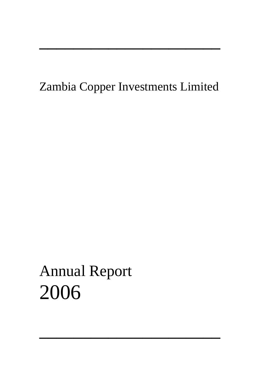## Zambia Copper Investments Limited

─────────────────────

─────────────────────

# Annual Report 2006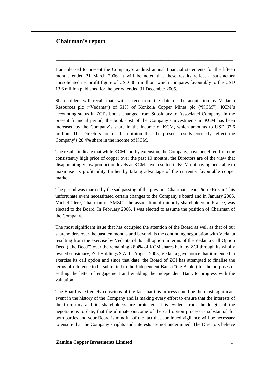## **Chairman's report**

I am pleased to present the Company's audited annual financial statements for the fifteen months ended 31 March 2006. It will be noted that these results reflect a satisfactory consolidated net profit figure of USD 38.5 million, which compares favourably to the USD 13.6 million published for the period ended 31 December 2005.

**\_\_\_\_\_\_\_\_\_\_\_\_\_\_\_\_\_\_\_\_\_\_\_\_\_\_\_\_\_\_\_\_\_\_\_\_\_\_\_\_\_\_\_\_\_\_\_\_\_\_\_\_\_\_\_\_\_\_\_\_\_\_\_\_\_\_\_\_\_\_\_\_\_\_**

Shareholders will recall that, with effect from the date of the acquisition by Vedanta Resources plc ("Vedanta") of 51% of Konkola Copper Mines plc ("KCM"), KCM's accounting status in ZCI's books changed from Subsidiary to Associated Company. In the present financial period, the book cost of the Company's investments in KCM has been increased by the Company's share in the income of KCM, which amounts to USD 37.6 million. The Directors are of the opinion that the present results correctly reflect the Company's 28.4% share in the income of KCM.

The results indicate that while KCM and by extension, the Company, have benefited from the consistently high price of copper over the past 10 months, the Directors are of the view that disappointingly low production levels at KCM have resulted in KCM not having been able to maximise its profitability further by taking advantage of the currently favourable copper market.

The period was marred by the sad passing of the previous Chairman, Jean-Pierre Rozan. This unfortunate event necessitated certain changes to the Company's board and in January 2006, Michel Clerc, Chairman of AMZCI, the association of minority shareholders in France, was elected to the Board. In February 2006, I was elected to assume the position of Chairman of the Company.

The most significant issue that has occupied the attention of the Board as well as that of our shareholders over the past ten months and beyond, is the continuing negotiation with Vedanta resulting from the exercise by Vedanta of its call option in terms of the Vedanta Call Option Deed ("the Deed") over the remaining 28.4% of KCM shares held by ZCI through its wholly owned subsidiary, ZCI Holdings S.A. In August 2005, Vedanta gave notice that it intended to exercise its call option and since that date, the Board of ZCI has attempted to finalise the terms of reference to be submitted to the Independent Bank ("the Bank") for the purposes of settling the letter of engagement and enabling the Independent Bank to progress with the valuation.

The Board is extremely conscious of the fact that this process could be the most significant event in the history of the Company and is making every effort to ensure that the interests of the Company and its shareholders are protected. It is evident from the length of the negotiations to date, that the ultimate outcome of the call option process is substantial for both parties and your Board is mindful of the fact that continued vigilance will be necessary to ensure that the Company's rights and interests are not undermined. The Directors believe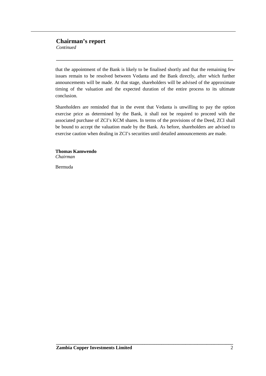## **Chairman's report**

*Continued*

that the appointment of the Bank is likely to be finalised shortly and that the remaining few issues remain to be resolved between Vedanta and the Bank directly, after which further announcements will be made. At that stage, shareholders will be advised of the approximate timing of the valuation and the expected duration of the entire process to its ultimate conclusion.

**\_\_\_\_\_\_\_\_\_\_\_\_\_\_\_\_\_\_\_\_\_\_\_\_\_\_\_\_\_\_\_\_\_\_\_\_\_\_\_\_\_\_\_\_\_\_\_\_\_\_\_\_\_\_\_\_\_\_\_\_\_\_\_\_\_\_\_\_\_\_\_\_\_\_**

Shareholders are reminded that in the event that Vedanta is unwilling to pay the option exercise price as determined by the Bank, it shall not be required to proceed with the associated purchase of ZCI's KCM shares. In terms of the provisions of the Deed, ZCI shall be bound to accept the valuation made by the Bank. As before, shareholders are advised to exercise caution when dealing in ZCI's securities until detailed announcements are made.

**Thomas Kamwendo** *Chairman*

Bermuda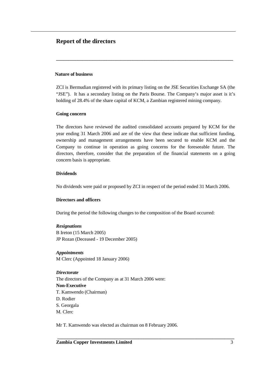#### **Nature of business**

ZCI is Bermudian registered with its primary listing on the JSE Securities Exchange SA (the "JSE"). It has a secondary listing on the Paris Bourse. The Company's major asset is it's holding of 28.4% of the share capital of KCM, a Zambian registered mining company.

**\_\_\_\_\_\_\_\_\_\_\_\_\_\_\_\_\_\_\_\_\_\_\_\_\_\_\_\_\_\_\_\_\_\_\_\_\_\_\_\_\_\_\_\_\_\_\_\_\_\_\_\_\_\_\_\_\_\_\_\_\_\_\_\_\_\_\_\_\_\_\_\_\_\_**

#### **Going concern**

The directors have reviewed the audited consolidated accounts prepared by KCM for the year ending 31 March 2006 and are of the view that these indicate that sufficient funding, ownership and management arrangements have been secured to enable KCM and the Company to continue in operation as going concerns for the foreseeable future. The directors, therefore, consider that the preparation of the financial statements on a going concern basis is appropriate.

## **Dividends**

No dividends were paid or proposed by ZCI in respect of the period ended 31 March 2006*.*

#### **Directors and officers**

During the period the following changes to the composition of the Board occurred:

## *Resignations*

B Ireton (15 March 2005) JP Rozan (Deceased - 19 December 2005)

## *Appointments*

M Clerc (Appointed 18 January 2006)

## *Directorate*

The directors of the Company as at 31 March 2006 were:

#### **Non-Executive**

- T. Kamwendo (Chairman)
- D. Rodier
- S. Georgala
- M. Clerc

Mr T. Kamwendo was elected as chairman on 8 February 2006.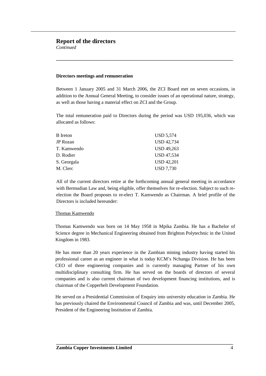*Continued*

#### **Directors meetings and remuneration**

Between 1 January 2005 and 31 March 2006, the ZCI Board met on seven occasions, in addition to the Annual General Meeting, to consider issues of an operational nature, strategy, as well as those having a material effect on ZCI and the Group.

**\_\_\_\_\_\_\_\_\_\_\_\_\_\_\_\_\_\_\_\_\_\_\_\_\_\_\_\_\_\_\_\_\_\_\_\_\_\_\_\_\_\_\_\_\_\_\_\_\_\_\_\_\_\_\_\_\_\_\_\_\_\_\_\_\_\_\_\_\_\_\_\_\_\_**

The total remuneration paid to Directors during the period was USD 195,036, which was allocated as follows:

| <b>B</b> Ireton | <b>USD 5,574</b>  |
|-----------------|-------------------|
| <b>JP</b> Rozan | <b>USD 42,734</b> |
| T. Kamwendo     | <b>USD 49,263</b> |
| D. Rodier       | <b>USD 47,534</b> |
| S. Georgala     | <b>USD 42,201</b> |
| M. Clerc        | <b>USD 7,730</b>  |

All of the current directors retire at the forthcoming annual general meeting in accordance with Bermudian Law and, being eligible, offer themselves for re-election. Subject to such reelection the Board proposes to re-elect T. Kamwendo as Chairman. A brief profile of the Directors is included hereunder:

#### Thomas Kamwendo

Thomas Kamwendo was born on 14 May 1958 in Mpika Zambia. He has a Bachelor of Science degree in Mechanical Engineering obtained from Brighton Polytechnic in the United Kingdom in 1983.

He has more than 20 years experience in the Zambian mining industry having started his professional career as an engineer in what is today KCM's Nchanga Division. He has been CEO of three engineering companies and is currently managing Partner of his own multidisciplinary consulting firm. He has served on the boards of directors of several companies and is also current chairman of two development financing institutions, and is chairman of the Copperbelt Development Foundation.

He served on a Presidential Commission of Enquiry into university education in Zambia. He has previously chaired the Environmental Council of Zambia and was, until December 2005, President of the Engineering Institution of Zambia.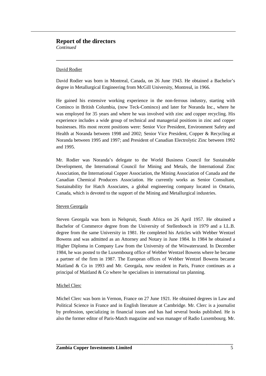*Continued*

## David Rodier

David Rodier was born in Montreal, Canada, on 26 June 1943. He obtained a Bachelor's degree in Metallurgical Engineering from McGill University, Montreal, in 1966.

**\_\_\_\_\_\_\_\_\_\_\_\_\_\_\_\_\_\_\_\_\_\_\_\_\_\_\_\_\_\_\_\_\_\_\_\_\_\_\_\_\_\_\_\_\_\_\_\_\_\_\_\_\_\_\_\_\_\_\_\_\_\_\_\_\_\_\_\_\_\_\_\_\_\_**

He gained his extensive working experience in the non-ferrous industry, starting with Cominco in British Columbia, (now Teck-Cominco) and later for Noranda Inc., where he was employed for 35 years and where he was involved with zinc and copper recycling. His experience includes a wide group of technical and managerial positions in zinc and copper businesses. His most recent positions were: Senior Vice President, Environment Safety and Health at Noranda between 1998 and 2002; Senior Vice President, Copper & Recycling at Noranda between 1995 and 1997; and President of Canadian Electrolytic Zinc between 1992 and 1995.

Mr. Rodier was Noranda's delegate to the World Business Council for Sustainable Development, the International Council for Mining and Metals, the International Zinc Association, the International Copper Association, the Mining Association of Canada and the Canadian Chemical Producers Association. He currently works as Senior Consultant, Sustainability for Hatch Associates, a global engineering company located in Ontario, Canada, which is devoted to the support of the Mining and Metallurgical industries.

## Steven Georgala

Steven Georgala was born in Nelspruit, South Africa on 26 April 1957. He obtained a Bachelor of Commerce degree from the University of Stellenbosch in 1979 and a LL.B. degree from the same University in 1981. He completed his Articles with Webber Wentzel Bowens and was admitted as an Attorney and Notary in June 1984. In 1984 he obtained a Higher Diploma in Company Law from the University of the Witwatersrand. In December 1984, he was posted to the Luxembourg office of Webber Wentzel Bowens where he became a partner of the firm in 1987. The European offices of Webber Wentzel Bowens became Maitland  $\&$  Co in 1993 and Mr. Georgala, now resident in Paris, France continues as a principal of Maitland & Co where he specialises in international tax planning.

## Michel Clerc

Michel Clerc was born in Vernon, France on 27 June 1921. He obtained degrees in Law and Political Science in France and in English literature at Cambridge. Mr. Clerc is a journalist by profession, specializing in financial issues and has had several books published. He is also the former editor of Paris-Match magazine and was manager of Radio Luxembourg. Mr.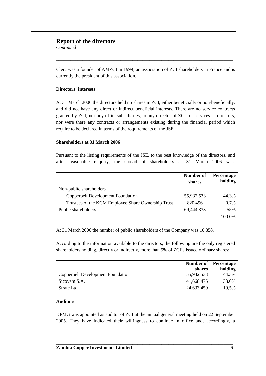*Continued*

Clerc was a founder of AMZCI in 1999, an association of ZCI shareholders in France and is currently the president of this association.

**\_\_\_\_\_\_\_\_\_\_\_\_\_\_\_\_\_\_\_\_\_\_\_\_\_\_\_\_\_\_\_\_\_\_\_\_\_\_\_\_\_\_\_\_\_\_\_\_\_\_\_\_\_\_\_\_\_\_\_\_\_\_\_\_\_\_\_\_\_\_\_\_\_\_**

## **Directors' interests**

At 31 March 2006 the directors held no shares in ZCI, either beneficially or non-beneficially, and did not have any direct or indirect beneficial interests. There are no service contracts granted by ZCI, nor any of its subsidiaries, to any director of ZCI for services as directors, nor were there any contracts or arrangements existing during the financial period which require to be declared in terms of the requirements of the JSE.

#### **Shareholders at 31 March 2006**

Pursuant to the listing requirements of the JSE, to the best knowledge of the directors, and after reasonable enquiry, the spread of shareholders at 31 March 2006 was:

|                                                    | <b>Number of</b><br>shares | <b>Percentage</b><br>holding |
|----------------------------------------------------|----------------------------|------------------------------|
| Non-public shareholders                            |                            |                              |
| <b>Copperbelt Development Foundation</b>           | 55,932,533                 | 44.3%                        |
| Trustees of the KCM Employee Share Ownership Trust | 820,496                    | $0.7\%$                      |
| Public shareholders                                | 69,444,333                 | 55%                          |
|                                                    |                            | 100.0%                       |

At 31 March 2006 the number of public shareholders of the Company was 10,858.

According to the information available to the directors, the following are the only registered shareholders holding, directly or indirectly, more than 5% of ZCI's issued ordinary shares:

|                                   |            | <b>Number of</b> Percentage |
|-----------------------------------|------------|-----------------------------|
|                                   | shares     | holding                     |
| Copperbelt Development Foundation | 55,932,533 | 44.3%                       |
| Sicovam S.A.                      | 41,668,475 | 33.0%                       |
| Strate Ltd                        | 24,633,459 | 19.5%                       |

## **Auditors**

KPMG was appointed as auditor of ZCI at the annual general meeting held on 22 September 2005. They have indicated their willingness to continue in office and, accordingly, a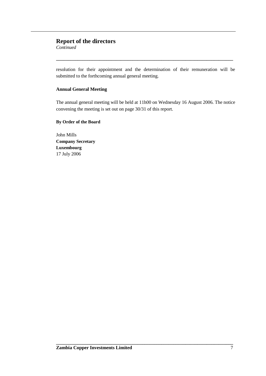*Continued*

resolution for their appointment and the determination of their remuneration will be submitted to the forthcoming annual general meeting.

**\_\_\_\_\_\_\_\_\_\_\_\_\_\_\_\_\_\_\_\_\_\_\_\_\_\_\_\_\_\_\_\_\_\_\_\_\_\_\_\_\_\_\_\_\_\_\_\_\_\_\_\_\_\_\_\_\_\_\_\_\_\_\_\_\_\_\_\_\_\_\_\_\_\_**

## **Annual General Meeting**

The annual general meeting will be held at 11h00 on Wednesday 16 August 2006. The notice convening the meeting is set out on page 30/31 of this report.

**By Order of the Board**

John Mills **Company Secretary Luxembourg** 17 July 2006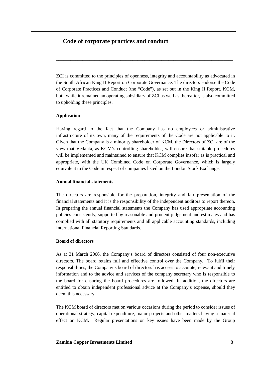ZCI is committed to the principles of openness, integrity and accountability as advocated in the South African King II Report on Corporate Governance. The directors endorse the Code of Corporate Practices and Conduct (the "Code"), as set out in the King II Report. KCM, both while it remained an operating subsidiary of ZCI as well as thereafter, is also committed to upholding these principles.

**\_\_\_\_\_\_\_\_\_\_\_\_\_\_\_\_\_\_\_\_\_\_\_\_\_\_\_\_\_\_\_\_\_\_\_\_\_\_\_\_\_\_\_\_\_\_\_\_\_\_\_\_\_\_\_\_\_\_\_\_\_\_\_\_\_\_\_\_\_\_\_\_\_\_**

## **Application**

Having regard to the fact that the Company has no employees or administrative infrastructure of its own, many of the requirements of the Code are not applicable to it. Given that the Company is a minority shareholder of KCM, the Directors of ZCI are of the view that Vedanta, as KCM's controlling shareholder, will ensure that suitable procedures will be implemented and maintained to ensure that KCM complies insofar as is practical and appropriate, with the UK Combined Code on Corporate Governance, which is largely equivalent to the Code in respect of companies listed on the London Stock Exchange.

## **Annual financial statements**

The directors are responsible for the preparation, integrity and fair presentation of the financial statements and it is the responsibility of the independent auditors to report thereon. In preparing the annual financial statements the Company has used appropriate accounting policies consistently, supported by reasonable and prudent judgement and estimates and has complied with all statutory requirements and all applicable accounting standards, including International Financial Reporting Standards.

## **Board of directors**

As at 31 March 2006, the Company's board of directors consisted of four non-executive directors. The board retains full and effective control over the Company. To fulfil their responsibilities, the Company's board of directors has access to accurate, relevant and timely information and to the advice and services of the company secretary who is responsible to the board for ensuring the board procedures are followed. In addition, the directors are entitled to obtain independent professional advice at the Company's expense, should they deem this necessary.

The KCM board of directors met on various occasions during the period to consider issues of operational strategy, capital expenditure, major projects and other matters having a material effect on KCM. Regular presentations on key issues have been made by the Group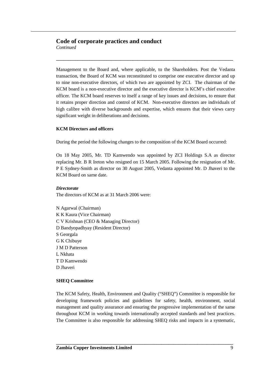*Continued*

Management to the Board and, where applicable, to the Shareholders. Post the Vedanta transaction, the Board of KCM was reconstituted to comprise one executive director and up to nine non-executive directors, of which two are appointed by ZCI. The chairman of the KCM board is a non-executive director and the executive director is KCM's chief executive officer. The KCM board reserves to itself a range of key issues and decisions, to ensure that it retains proper direction and control of KCM. Non-executive directors are individuals of high calibre with diverse backgrounds and expertise, which ensures that their views carry significant weight in deliberations and decisions.

**\_\_\_\_\_\_\_\_\_\_\_\_\_\_\_\_\_\_\_\_\_\_\_\_\_\_\_\_\_\_\_\_\_\_\_\_\_\_\_\_\_\_\_\_\_\_\_\_\_\_\_\_\_\_\_\_\_\_\_\_\_\_\_\_\_\_\_\_\_\_\_\_\_\_**

## **KCM Directors and officers**

During the period the following changes to the composition of the KCM Board occurred:

On 18 May 2005, Mr. TD Kamwendo was appointed by ZCI Holdings S.A as director replacing Mr. B R Ireton who resigned on 15 March 2005. Following the resignation of Mr. P E Sydney-Smith as director on 30 August 2005, Vedanta appointed Mr. D Jhaveri to the KCM Board on same date.

## *Directorate*

The directors of KCM as at 31 March 2006 were:

N Agarwal (Chairman) K K Kaura (Vice Chairman) C V Krishnan (CEO & Managing Director) D Bandyopadhyay (Resident Director) S Georgala G K Chibuye J M D Patterson L Nkhata T D Kamwendo D Jhaveri

## **SHEQ Committee**

The KCM Safety, Health, Environment and Quality ("SHEQ") Committee is responsible for developing framework policies and guidelines for safety, health, environment, social management and quality assurance and ensuring the progressive implementation of the same throughout KCM in working towards internationally accepted standards and best practices. The Committee is also responsible for addressing SHEQ risks and impacts in a systematic,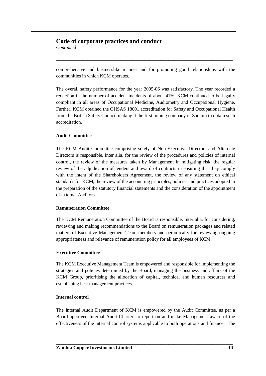*Continued*

comprehensive and businesslike manner and for promoting good relationships with the communities in which KCM operates.

**\_\_\_\_\_\_\_\_\_\_\_\_\_\_\_\_\_\_\_\_\_\_\_\_\_\_\_\_\_\_\_\_\_\_\_\_\_\_\_\_\_\_\_\_\_\_\_\_\_\_\_\_\_\_\_\_\_\_\_\_\_\_\_\_\_\_\_\_\_\_\_\_\_\_**

The overall safety performance for the year 2005-06 was satisfactory. The year recorded a reduction in the number of accident incidents of about 41%. KCM continued to be legally compliant in all areas of Occupational Medicine, Audiometry and Occupational Hygiene. Further, KCM obtained the OHSAS 18001 accreditation for Safety and Occupational Health from the British Safety Council making it the first mining company in Zambia to obtain such accreditation.

## **Audit Committee**

The KCM Audit Committee comprising solely of Non-Executive Directors and Alternate Directors is responsible, inter alia, for the review of the procedures and policies of internal control, the review of the measures taken by Management in mitigating risk, the regular review of the adjudication of tenders and award of contracts in ensuring that they comply with the intent of the Shareholders Agreement, the review of any statement on ethical standards for KCM, the review of the accounting principles, policies and practices adopted in the preparation of the statutory financial statements and the consideration of the appointment of external Auditors.

#### **Remuneration Committee**

The KCM Remuneration Committee of the Board is responsible, inter alia, for considering, reviewing and making recommendations to the Board on remuneration packages and related matters of Executive Management Team members and periodically for reviewing ongoing appropriateness and relevance of remuneration policy for all employees of KCM.

#### **Executive Committee**

The KCM Executive Management Team is empowered and responsible for implementing the strategies and policies determined by the Board, managing the business and affairs of the KCM Group, prioritising the allocation of capital, technical and human resources and establishing best management practices.

## **Internal control**

The Internal Audit Department of KCM is empowered by the Audit Committee, as per a Board approved Internal Audit Charter, to report on and make Management aware of the effectiveness of the internal control systems applicable to both operations and finance. The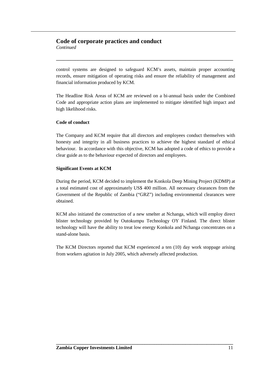*Continued*

control systems are designed to safeguard KCM's assets, maintain proper accounting records, ensure mitigation of operating risks and ensure the reliability of management and financial information produced by KCM.

**\_\_\_\_\_\_\_\_\_\_\_\_\_\_\_\_\_\_\_\_\_\_\_\_\_\_\_\_\_\_\_\_\_\_\_\_\_\_\_\_\_\_\_\_\_\_\_\_\_\_\_\_\_\_\_\_\_\_\_\_\_\_\_\_\_\_\_\_\_\_\_\_\_\_**

The Headline Risk Areas of KCM are reviewed on a bi-annual basis under the Combined Code and appropriate action plans are implemented to mitigate identified high impact and high likelihood risks.

## **Code of conduct**

The Company and KCM require that all directors and employees conduct themselves with honesty and integrity in all business practices to achieve the highest standard of ethical behaviour. In accordance with this objective, KCM has adopted a code of ethics to provide a clear guide as to the behaviour expected of directors and employees.

## **Significant Events at KCM**

During the period, KCM decided to implement the Konkola Deep Mining Project (KDMP) at a total estimated cost of approximately US\$ 400 million. All necessary clearances from the Government of the Republic of Zambia ("GRZ") including environmental clearances were obtained.

KCM also initiated the construction of a new smelter at Nchanga, which will employ direct blister technology provided by Outokumpu Technology OY Finland. The direct blister technology will have the ability to treat low energy Konkola and Nchanga concentrates on a stand-alone basis.

The KCM Directors reported that KCM experienced a ten (10) day work stoppage arising from workers agitation in July 2005, which adversely affected production.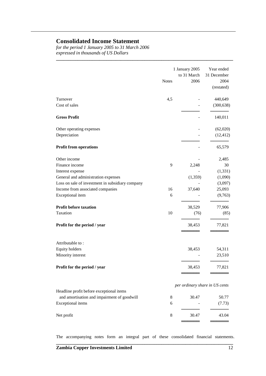## **Consolidated Income Statement**

*for the period 1 January 2005 to 31 March 2006 expressed in thousands of US Dollars*

|                                                  | <b>Notes</b> | 1 January 2005<br>to 31 March<br>2006 | Year ended<br>31 December<br>2004<br>(restated) |
|--------------------------------------------------|--------------|---------------------------------------|-------------------------------------------------|
| Turnover<br>Cost of sales                        | 4,5          |                                       | 440,649<br>(300, 638)                           |
| <b>Gross Profit</b>                              |              |                                       | 140,011                                         |
| Other operating expenses                         |              |                                       | (62,020)                                        |
| Depreciation                                     |              |                                       | (12, 412)                                       |
| <b>Profit from operations</b>                    |              |                                       | 65,579                                          |
| Other income                                     |              |                                       | 2,485                                           |
| Finance income                                   | 9            | 2,248                                 | 30                                              |
| Interest expense                                 |              |                                       | (1, 331)                                        |
| General and administration expenses              |              | (1, 359)                              | (1,090)                                         |
| Loss on sale of investment in subsidiary company |              |                                       | (3,097)                                         |
| Income from associated companies                 | 16           | 37,640                                | 25,093                                          |
| Exceptional item                                 | 6            |                                       | (9,763)                                         |
| <b>Profit before taxation</b>                    |              | 38,529                                | 77,906                                          |
| Taxation                                         | 10           | (76)                                  | (85)                                            |
| Profit for the period / year                     |              | 38,453                                | 77,821                                          |
| Attributable to:                                 |              |                                       |                                                 |
| <b>Equity holders</b>                            |              | 38,453                                | 54,311                                          |
| Minority interest                                |              |                                       | 23,510                                          |
| Profit for the period / year                     |              | 38,453                                | 77,821                                          |
|                                                  |              | per ordinary share in US cents        |                                                 |
| Headline profit before exceptional items         |              |                                       |                                                 |
| and amortisation and impairment of goodwill      | 8            | 30.47                                 | 50.77                                           |
| <b>Exceptional</b> items                         | 6            |                                       | (7.73)                                          |
| Net profit                                       | $\,$ 8 $\,$  | 30.47                                 | 43.04                                           |

**\_\_\_\_\_\_\_\_\_\_\_\_\_\_\_\_\_\_\_\_\_\_\_\_\_\_\_\_\_\_\_\_\_\_\_\_\_\_\_\_\_\_\_\_\_\_\_\_\_\_\_\_\_\_\_\_\_\_\_\_\_\_\_\_\_\_\_\_\_\_\_\_\_\_**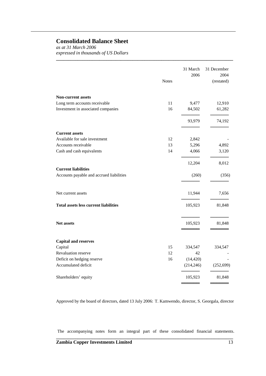## **Consolidated Balance Sheet**

*as at 31 March 2006 expressed in thousands of US Dollars*

| <b>Notes</b>                                 | 31 March<br>2006 | 31 December<br>2004<br>(restated) |
|----------------------------------------------|------------------|-----------------------------------|
| <b>Non-current assets</b>                    |                  |                                   |
| 11<br>Long term accounts receivable          | 9,477            | 12,910                            |
| Investment in associated companies<br>16     | 84,502           | 61,282                            |
|                                              | 93,979           | 74,192                            |
| <b>Current assets</b>                        |                  |                                   |
| Available for sale investment<br>12          | 2,842            |                                   |
| Accounts receivable<br>13                    | 5,296            | 4,892                             |
| Cash and cash equivalents<br>14              | 4,066            | 3,120                             |
|                                              | 12,204           | 8,012                             |
| <b>Current liabilities</b>                   |                  |                                   |
| Accounts payable and accrued liabilities     | (260)            | (356)                             |
| Net current assets                           | 11,944           | 7,656                             |
| <b>Total assets less current liabilities</b> | 105,923          | 81,848                            |
| <b>Net assets</b>                            | 105,923          | 81,848                            |
| <b>Capital and reserves</b>                  |                  |                                   |
| Capital<br>15                                | 334,547          | 334,547                           |
| 12<br>Revaluation reserve                    | 42               |                                   |
| Deficit on hedging reserve<br>16             | (14, 420)        |                                   |
| Accumulated deficit                          | (214, 246)       | (252, 699)                        |
| Shareholders' equity                         | 105,923          | 81,848                            |

**\_\_\_\_\_\_\_\_\_\_\_\_\_\_\_\_\_\_\_\_\_\_\_\_\_\_\_\_\_\_\_\_\_\_\_\_\_\_\_\_\_\_\_\_\_\_\_\_\_\_\_\_\_\_\_\_\_\_\_\_\_\_\_\_\_\_\_\_\_\_\_\_\_\_**

Approved by the board of directors, dated 13 July 2006: T. Kamwendo, director, S. Georgala, director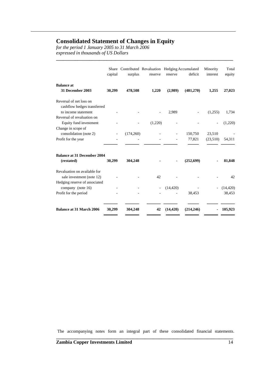## **Consolidated Statement of Changes in Equity**

*for the period 1 January 2005 to 31 March 2006 expressed in thousands of US Dollars*

|                                                    | capital | surplus   | Share Contributed Revaluation Hedging Accumulated<br>reserve | reserve   | deficit    | Minority<br>interest | Total<br>equity |
|----------------------------------------------------|---------|-----------|--------------------------------------------------------------|-----------|------------|----------------------|-----------------|
| <b>Balance</b> at<br>31 December 2003              | 30,299  | 478,508   | 1,220                                                        | (2,989)   | (481,270)  | 1,255                | 27,023          |
| Reversal of net loss on                            |         |           |                                                              |           |            |                      |                 |
| cashflow hedges transferred<br>to income statement |         |           |                                                              |           |            |                      |                 |
| Reversal of revaluation on                         |         |           |                                                              | 2,989     |            | (1,255)              | 1,734           |
| Equity fund investment                             |         |           | (1,220)                                                      |           |            |                      | (1,220)         |
| Change in scope of                                 |         |           |                                                              |           |            |                      |                 |
| consolidation (note 2)                             |         | (174,260) |                                                              |           | 150,750    | 23,510               |                 |
| Profit for the year                                |         |           |                                                              |           | 77,821     | (23,510)             | 54,311          |
|                                                    |         |           |                                                              |           |            |                      |                 |
| <b>Balance at 31 December 2004</b>                 |         |           |                                                              |           |            |                      |                 |
| (restated)                                         | 30,299  | 304,248   |                                                              |           | (252,699)  |                      | 81,848          |
| Revaluation on available for                       |         |           |                                                              |           |            |                      |                 |
| sale investment (note 12)                          |         |           | 42                                                           |           |            |                      | 42              |
| Hedging reserve of associated                      |         |           |                                                              |           |            |                      |                 |
| company (note 16)                                  |         |           |                                                              | (14, 420) |            |                      | (14, 420)       |
| Profit for the period                              |         |           |                                                              |           | 38,453     |                      | 38,453          |
| <b>Balance at 31 March 2006</b>                    | 30,299  | 304,248   | 42                                                           | (14, 420) | (214, 246) |                      | 105,923         |
|                                                    |         |           |                                                              |           |            |                      |                 |

**\_\_\_\_\_\_\_\_\_\_\_\_\_\_\_\_\_\_\_\_\_\_\_\_\_\_\_\_\_\_\_\_\_\_\_\_\_\_\_\_\_\_\_\_\_\_\_\_\_\_\_\_\_\_\_\_\_\_\_\_\_\_\_\_\_\_\_\_\_\_\_\_\_\_**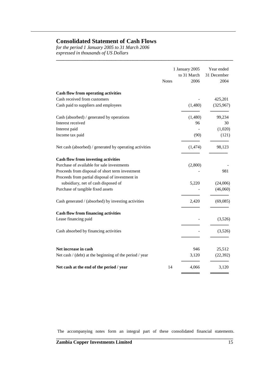## **Consolidated Statement of Cash Flows**

*for the period 1 January 2005 to 31 March 2006 expressed in thousands of US Dollars*

| <b>Notes</b> | to 31 March<br>2006 | Year ended<br>31 December<br>2004 |
|--------------|---------------------|-----------------------------------|
|              |                     |                                   |
|              |                     | 425,201                           |
|              | (1,480)             | (325,967)                         |
|              | (1,480)             | 99,234                            |
|              | 96                  | 30                                |
|              |                     | (1,020)                           |
|              | (90)                | (121)                             |
|              | (1, 474)            | 98,123                            |
|              |                     |                                   |
|              | (2,800)             |                                   |
|              |                     | 981                               |
|              |                     |                                   |
|              | 5,220               | (24,006)                          |
|              |                     | (46,060)                          |
|              | 2,420               | (69,085)                          |
|              |                     |                                   |
|              |                     | (3,526)                           |
|              |                     | (3,526)                           |
|              |                     |                                   |
|              |                     | 25,512                            |
|              |                     | (22, 392)                         |
| 14           | 4,066               | 3,120                             |
|              |                     | 1 January 2005<br>946<br>3,120    |

**\_\_\_\_\_\_\_\_\_\_\_\_\_\_\_\_\_\_\_\_\_\_\_\_\_\_\_\_\_\_\_\_\_\_\_\_\_\_\_\_\_\_\_\_\_\_\_\_\_\_\_\_\_\_\_\_\_\_\_\_\_\_\_\_\_\_\_\_\_\_\_\_\_\_**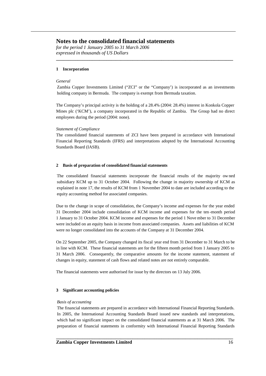*for the period 1 January 2005 to 31 March 2006 expressed in thousands of US Dollars*

#### **1 Incorporation**

#### *General*

Zambia Copper Investments Limited ("ZCI" or the "Company') is incorporated as an investments holding company in Bermuda. The company is exempt from Bermuda taxation.

**\_\_\_\_\_\_\_\_\_\_\_\_\_\_\_\_\_\_\_\_\_\_\_\_\_\_\_\_\_\_\_\_\_\_\_\_\_\_\_\_\_\_\_\_\_\_\_\_\_\_\_\_\_\_\_\_\_\_\_\_\_\_\_\_\_\_\_\_\_\_\_\_\_\_**

The Company's principal activity is the holding of a 28.4% (2004: 28.4%) interest in Konkola Copper Mines plc ('KCM'), a company incorporated in the Republic of Zambia. The Group had no direct employees during the period (2004: none).

#### *Statement of Compliance*

The consolidated financial statements of ZCI have been prepared in accordance with Intenational Financial Reporting Standards (IFRS) and interpretations adopted by the International Accounting Standards Board (IASB).

#### **2 Basis of preparation of consolidated financial statements**

The consolidated financial statements incorporate the financial results of the majority ow ned subsidiary KCM up to 31 October 2004. Following the change in majority ownership of KCM as explained in note 17, the results of KCM from 1 November 2004 to date are included according to the equity accounting method for associated companies.

Due to the change in scope of consolidation, the Company's income and expenses for the year ended 31 December 2004 include consolidation of KCM income and expenses for the ten -month period 1 January to 31 October 2004. KCM income and expenses for the period 1 Nove mber to 31 December were included on an equity basis in income from associated companies. Assets and liabilities of KCM were no longer consolidated into the accounts of the Company at 31 December 2004.

On 22 September 2005, the Company changed its fiscal year end from 31 December to 31 March to be in line with KCM. These financial statements are for the fifteen month period from 1 January 2005 to 31 March 2006. Consequently, the comparative amounts for the income statement, statement of changes in equity, statement of cash flows and related notes are not entirely comparable.

The financial statements were authorised for issue by the directors on 13 July 2006.

#### **3 Significant accounting policies**

#### *Basis of accounting*

The financial statements are prepared in accordance with International Financial Reporting Standards. In 2005, the International Accounting Standards Board issued new standards and interpretations, which had no significant impact on the consolidated financial statements as at 31 March 2006. The preparation of financial statements in conformity with International Financial Reporting Standards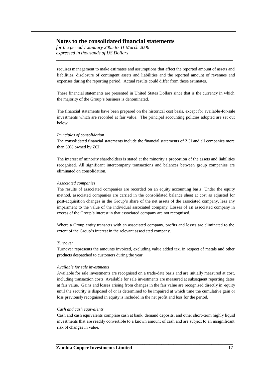*for the period 1 January 2005 to 31 March 2006 expressed in thousands of US Dollars*

requires management to make estimates and assumptions that affect the reported amount of assets and liabilities, disclosure of contingent assets and liabilities and the reported amount of revenues and expenses during the reporting period. Actual results could differ from those estimates.

**\_\_\_\_\_\_\_\_\_\_\_\_\_\_\_\_\_\_\_\_\_\_\_\_\_\_\_\_\_\_\_\_\_\_\_\_\_\_\_\_\_\_\_\_\_\_\_\_\_\_\_\_\_\_\_\_\_\_\_\_\_\_\_\_\_\_\_\_\_\_\_\_\_\_**

These financial statements are presented in United States Dollars since that is the currency in which the majority of the Group's business is denominated.

The financial statements have been prepared on the historical cost basis, except for available-for-sale investments which are recorded at fair value. The principal accounting policies adopted are set out below.

#### *Principles of consolidation*

The consolidated financial statements include the financial statements of ZCI and all companies more than 50% owned by ZCI.

The interest of minority shareholders is stated at the minority's proportion of the assets and liabilities recognised. All significant intercompany transactions and balances between group companies are eliminated on consolidation.

#### *Associated companies*

The results of associated companies are recorded on an equity accounting basis. Under the equity method, associated companies are carried in the consolidated balance sheet at cost as adjusted for post-acquisition changes in the Group's share of the net assets of the associated company, less any impairment to the value of the individual associated company. Losses of an associated company in excess of the Group's interest in that associated company are not recognised.

Where a Group entity transacts with an associated company, profits and losses are eliminated to the extent of the Group's interest in the relevant associated company.

#### *Turnover*

Turnover represents the amounts invoiced, excluding value added tax, in respect of metals and other products despatched to customers during the year.

#### *Available for sale investments*

Available for sale investments are recognised on a trade-date basis and are initially measured at cost, including transaction costs. Available for sale investments are measured at subsequent reporting dates at fair value. Gains and losses arising from changes in the fair value are recognised directly in equity until the security is disposed of or is determined to be impaired at which time the cumulative gain or loss previously recognised in equity is included in the net profit and loss for the period.

#### *Cash and cash equivalents*

Cash and cash equivalents comprise cash at bank, demand deposits, and other short-term highly liquid investments that are readily convertible to a known amount of cash and are subject to an insignificant risk of changes in value.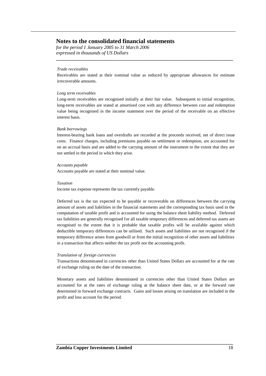*for the period 1 January 2005 to 31 March 2006 expressed in thousands of US Dollars*

#### *Trade receivables*

Receivables are stated at their nominal value as reduced by appropriate allowances for estimate irrecoverable amounts.

**\_\_\_\_\_\_\_\_\_\_\_\_\_\_\_\_\_\_\_\_\_\_\_\_\_\_\_\_\_\_\_\_\_\_\_\_\_\_\_\_\_\_\_\_\_\_\_\_\_\_\_\_\_\_\_\_\_\_\_\_\_\_\_\_\_\_\_\_\_\_\_\_\_\_**

#### *Long term receivables*

Long-term receivables are recognised initially at their fair value. Subsequent to initial recognition, long-term receivables are stated at amortised cost with any difference between cost and redemption value being recognised in the income statement over the period of the receivable on an effective interest basis.

#### *Bank borrowings*

Interest-bearing bank loans and overdrafts are recorded at the proceeds received, net of direct issue costs. Finance charges, including premiums payable on settlement or redemption, are accounted for on an accrual basis and are added to the carrying amount of the instrument to the extent that they are not settled in the period in which they arise.

#### *Accounts payable*

Accounts payable are stated at their nominal value.

#### *Taxation*

Income tax expense represents the tax currently payable.

Deferred tax is the tax expected to be payable or recoverable on differences between the carrying amount of assets and liabilities in the financial statements and the corresponding tax basis used in the computation of taxable profit and is accounted for using the balance sheet liability method. Deferred tax liabilities are generally recognised for all taxable temporary differences and deferred tax assets are recognised to the extent that it is probable that taxable profits will be available against which deductible temporary differences can be utilised. Such assets and liabilities are not recognised if the temporary difference arises from goodwill or from the initial recognition of other assets and liabilities in a transaction that affects neither the tax profit nor the accounting profit.

#### *Translation of foreign currencies*

Transactions denominated in currencies other than United States Dollars are accounted for at the rate of exchange ruling on the date of the transaction.

Monetary assets and liabilities denominated in currencies other than United States Dollars are accounted for at the rates of exchange ruling at the balance sheet date, or at the forward rate determined in forward exchange contracts. Gains and losses arising on translation are included in the profit and loss account for the period.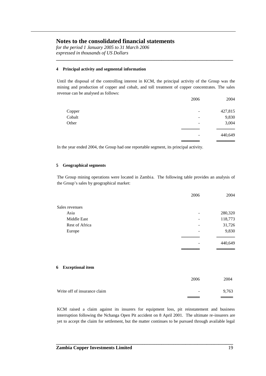*for the period 1 January 2005 to 31 March 2006 expressed in thousands of US Dollars*

#### **4 Principal activity and segmental information**

Until the disposal of the controlling interest in KCM, the principal activity of the Group was the mining and production of copper and cobalt, and toll treatment of copper concentrates. The sales revenue can be analysed as follows:

**\_\_\_\_\_\_\_\_\_\_\_\_\_\_\_\_\_\_\_\_\_\_\_\_\_\_\_\_\_\_\_\_\_\_\_\_\_\_\_\_\_\_\_\_\_\_\_\_\_\_\_\_\_\_\_\_\_\_\_\_\_\_\_\_\_\_\_\_\_\_\_\_\_\_**

|        | 2006                     | 2004    |
|--------|--------------------------|---------|
| Copper | $\overline{\phantom{a}}$ | 427,815 |
| Cobalt | -                        | 9,830   |
| Other  | $\overline{\phantom{a}}$ | 3,004   |
|        |                          |         |
|        |                          | 440,649 |
|        |                          |         |

In the year ended 2004, the Group had one reportable segment, its principal activity.

#### **5 Geographical segments**

The Group mining operations were located in Zambia. The following table provides an analysis of the Group's sales by geographical market:

|                | 2006 | 2004    |
|----------------|------|---------|
| Sales revenues |      |         |
| Asia           |      | 280,320 |
| Middle East    |      | 118,773 |
| Rest of Africa |      | 31,726  |
| Europe         | ۰    | 9,830   |
|                |      |         |
|                |      | 440,649 |
|                |      |         |

#### **6 Exceptional item**

|                              | 2006                     | 2004  |
|------------------------------|--------------------------|-------|
| Write off of insurance claim | $\overline{\phantom{0}}$ | 9,763 |
|                              | _____                    |       |

KCM raised a claim against its insurers for equipment loss, pit reinstatement and business interruption following the Nchanga Open Pit accident on 8 April 2001. The ultimate re-insurers are yet to accept the claim for settlement, but the matter continues to be pursued through available legal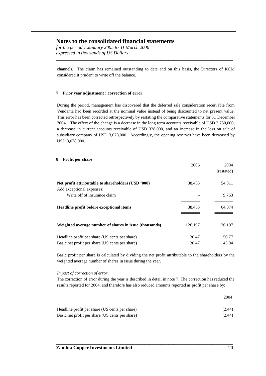*for the period 1 January 2005 to 31 March 2006 expressed in thousands of US Dollars*

channels. The claim has remained outstanding to date and on this basis, the Directors of KCM considered it prudent to write off the balance.

**\_\_\_\_\_\_\_\_\_\_\_\_\_\_\_\_\_\_\_\_\_\_\_\_\_\_\_\_\_\_\_\_\_\_\_\_\_\_\_\_\_\_\_\_\_\_\_\_\_\_\_\_\_\_\_\_\_\_\_\_\_\_\_\_\_\_\_\_\_\_\_\_\_\_**

#### **7 Prior year adjustment : correction of error**

During the period, management has discovered that the deferred sale consideration receivable from Vendanta had been recorded at the nominal value instead of being discounted to net present value. This error has been corrected retrospectively by restating the comparative statements for 31 December 2004. The effect of the change is a decrease in the long term accounts receivable of USD 2,750,000, a decrease in current accounts receivable of USD 328,000, and an increase in the loss on sale of subsidiary company of USD 3,078,000. Accordingly, the opening reserves have been decreased by USD 3,078,000.

#### **8 Profit per share**

|                                                                                 | 2006    | 2004<br>(restated) |
|---------------------------------------------------------------------------------|---------|--------------------|
| Net profit attributable to shareholders (USD '000)<br>Add exceptional expenses: | 38,453  | 54,311             |
| Write off of insurance claim                                                    |         | 9,763              |
| Headline profit before exceptional items                                        | 38,453  | 64,074             |
| Weighted average number of shares in issue (thousands)                          | 126,197 | 126,197            |
| Headline profit per share (US cents per share)                                  | 30.47   | 50.77              |
| Basic net profit per share (US cents per share)                                 | 30.47   | 43.04              |

Basic profit per share is calculated by dividing the net profit attributable to the shareholders by the weighted average number of shares in issue during the year.

#### *Impact of correction of error*

The correction of error during the year is described in detail in note 7. The correction has reduced the results reported for 2004, and therefore has also reduced amounts reported as profit per share by:

| Headline profit per share (US cents per share)  | (2.44) |
|-------------------------------------------------|--------|
| Basic net profit per share (US cents per share) | (2.44) |

**\_\_\_\_\_\_\_\_\_\_\_\_\_\_\_\_\_\_\_\_\_\_\_\_\_\_\_\_\_\_\_\_\_\_\_\_\_\_\_\_\_\_\_\_\_\_\_\_\_\_\_\_\_\_\_\_\_\_\_\_\_\_\_\_\_\_\_\_\_\_\_\_\_\_**

2004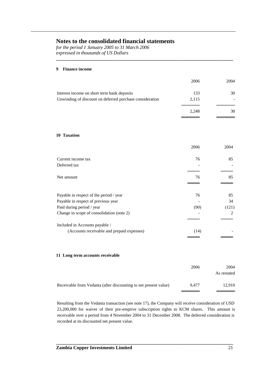*for the period 1 January 2005 to 31 March 2006 expressed in thousands of US Dollars*

#### **9 Finance income**

|                                                          | 2006  | 2004 |
|----------------------------------------------------------|-------|------|
| Interest income on short term bank deposits              | 133   | 30   |
| Unwinding of discount on deferred purchase consideration | 2,115 |      |
|                                                          | 2.248 | 30   |
|                                                          |       |      |

**\_\_\_\_\_\_\_\_\_\_\_\_\_\_\_\_\_\_\_\_\_\_\_\_\_\_\_\_\_\_\_\_\_\_\_\_\_\_\_\_\_\_\_\_\_\_\_\_\_\_\_\_\_\_\_\_\_\_\_\_\_\_\_\_\_\_\_\_\_\_\_\_\_\_**

#### **10 Taxation**

|                                            | 2006 | 2004  |
|--------------------------------------------|------|-------|
| Current income tax                         | 76   | 85    |
| Deferred tax                               |      |       |
|                                            |      |       |
| Net amount                                 | 76   | 85    |
|                                            |      |       |
| Payable in respect of the period / year    | 76   | 85    |
| Payable in respect of previous year        |      | 34    |
| Paid during period / year                  | (90) | (121) |
| Change in scope of consolidation (note 2)  |      | 2     |
|                                            |      |       |
| Included in Accounts payable /             |      |       |
| (Accounts receivable and prepaid expenses) | (14) |       |
|                                            |      |       |

#### **11 Long term accounts receivable**

|                                                                  | 2006  | 2004<br>As restated |
|------------------------------------------------------------------|-------|---------------------|
| Receivable from Vedanta (after discounting to net present value) | 9.477 | 12.910              |

Resulting from the Vedanta transaction (see note 17), the Company will receive consideration of USD 23,200,000 for waiver of their pre-emptive subscription rights to KCM shares. This amount is receivable over a period from 4 November 2004 to 31 December 2008. The deferred consideration is recorded at its discounted net present value.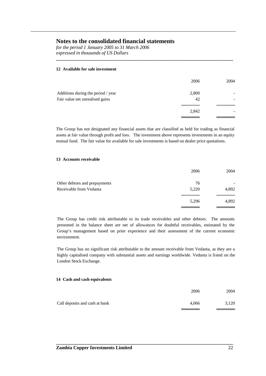*for the period 1 January 2005 to 31 March 2006 expressed in thousands of US Dollars*

#### **12 Available for sale investment**

|                                    | 2006  | 2004 |
|------------------------------------|-------|------|
| Additions during the period / year | 2,800 |      |
| Fair value net unrealised gains    | 42    |      |
|                                    |       |      |
|                                    | 2,842 |      |
|                                    |       |      |

**\_\_\_\_\_\_\_\_\_\_\_\_\_\_\_\_\_\_\_\_\_\_\_\_\_\_\_\_\_\_\_\_\_\_\_\_\_\_\_\_\_\_\_\_\_\_\_\_\_\_\_\_\_\_\_\_\_\_\_\_\_\_\_\_\_\_\_\_\_\_\_\_\_\_**

The Group has not designated any financial assets that are classified as held for trading as financial assets at fair value through profit and loss. The investment above represents investments in an equity mutual fund. The fair value for available for sale investments is based on dealer price quotations.

#### **13 Accounts receivable**

|                               | 2006  | 2004  |
|-------------------------------|-------|-------|
| Other debtors and prepayments | 76    |       |
| Receivable from Vedanta       | 5,220 | 4,892 |
|                               | 5,296 | 4,892 |
|                               |       |       |

The Group has credit risk attributable to its trade receivables and other debtors. The amounts presented in the balance sheet are net of allowances for doubtful receivables, estimated by the Group's management based on prior experience and their assessment of the current economic environment.

The Group has no significant risk attributable to the amount receivable from Vedanta, as they are a highly capitalised company with substantial assets and earnings worldwide. Vedanta is listed on the London Stock Exchange.

#### **14 Cash and cash equivalents**

|                                | 2006  | 2004  |
|--------------------------------|-------|-------|
| Call deposits and cash at bank | 4.066 | 3.120 |
|                                |       |       |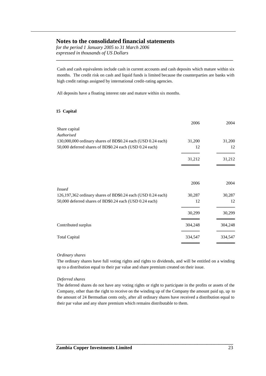*for the period 1 January 2005 to 31 March 2006 expressed in thousands of US Dollars*

Cash and cash equivalents include cash in current accounts and cash deposits which mature within six months. The credit risk on cash and liquid funds is limited because the counterparties are banks with high credit ratings assigned by international credit-rating agencies.

**\_\_\_\_\_\_\_\_\_\_\_\_\_\_\_\_\_\_\_\_\_\_\_\_\_\_\_\_\_\_\_\_\_\_\_\_\_\_\_\_\_\_\_\_\_\_\_\_\_\_\_\_\_\_\_\_\_\_\_\_\_\_\_\_\_\_\_\_\_\_\_\_\_\_**

All deposits have a floating interest rate and mature within six months.

#### **15 Capital**

|                                                              | 2006    | 2004    |
|--------------------------------------------------------------|---------|---------|
| Share capital                                                |         |         |
| Authorised                                                   |         |         |
| 130,000,000 ordinary shares of BD\$0.24 each (USD 0.24 each) | 31,200  | 31,200  |
| 50,000 deferred shares of BD\$0.24 each (USD 0.24 each)      | 12      | 12      |
|                                                              | 31,212  | 31,212  |
|                                                              |         |         |
|                                                              | 2006    | 2004    |
| <i>Issued</i>                                                |         |         |
| 126,197,362 ordinary shares of BD\$0.24 each (USD 0.24 each) | 30,287  | 30,287  |
| 50,000 deferred shares of BD\$0.24 each (USD 0.24 each)      | 12      | 12      |
|                                                              | 30,299  | 30,299  |
| Contributed surplus                                          | 304,248 | 304,248 |
| <b>Total Capital</b>                                         | 334,547 | 334,547 |
|                                                              |         |         |

#### *Ordinary shares*

The ordinary shares have full voting rights and rights to dividends, and will be entitled on a winding up to a distribution equal to their par value and share premium created on their issue.

#### *Deferred shares*

The deferred shares do not have any voting rights or right to participate in the profits or assets of the Company, other than the right to receive on the winding up of the Company the amount paid up, up to the amount of 24 Bermudian cents only, after all ordinary shares have received a distribution equal to their par value and any share premium which remains distributable to them.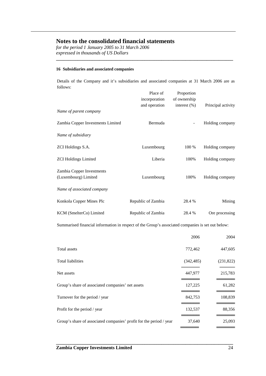*for the period 1 January 2005 to 31 March 2006 expressed in thousands of US Dollars*

#### **16 Subsidiaries and associated companies**

Details of the Company and it's subsidiaries and associated companies at 31 March 2006 are as follows:

**\_\_\_\_\_\_\_\_\_\_\_\_\_\_\_\_\_\_\_\_\_\_\_\_\_\_\_\_\_\_\_\_\_\_\_\_\_\_\_\_\_\_\_\_\_\_\_\_\_\_\_\_\_\_\_\_\_\_\_\_\_\_\_\_\_\_\_\_\_\_\_\_\_\_**

|                                                   | Place of<br>incorporation | Proportion<br>of ownership |                    |
|---------------------------------------------------|---------------------------|----------------------------|--------------------|
| Name of parent company                            | and operation             | interest $(\%)$            | Principal activity |
| Zambia Copper Investments Limited                 | Bermuda                   |                            | Holding company    |
| Name of subsidiary                                |                           |                            |                    |
| ZCI Holdings S.A.                                 | Luxembourg                | 100 %                      | Holding company    |
| <b>ZCI Holdings Limited</b>                       | Liberia                   | 100%                       | Holding company    |
| Zambia Copper Investments<br>(Luxembourg) Limited | Luxembourg                | 100%                       | Holding company    |
| Name of associated company                        |                           |                            |                    |
| Konkola Copper Mines Plc                          | Republic of Zambia        | 28.4 %                     | Mining             |
| KCM (SmelterCo) Limited                           | Republic of Zambia        | 28.4 %                     | Ore processing     |

Summarised financial information in respect of the Group's associated companies is set out below:

|                                                                     | 2006       | 2004       |
|---------------------------------------------------------------------|------------|------------|
| Total assets                                                        | 772,462    | 447,605    |
| Total liabilities                                                   | (342, 485) | (231, 822) |
| Net assets                                                          | 447,977    | 215,783    |
| Group's share of associated companies' net assets                   | 127,225    | 61,282     |
| Turnover for the period / year                                      | 842,753    | 108,839    |
| Profit for the period / year                                        | 132,537    | 88,356     |
| Group's share of associated companies' profit for the period / year | 37,640     | 25,093     |
|                                                                     |            |            |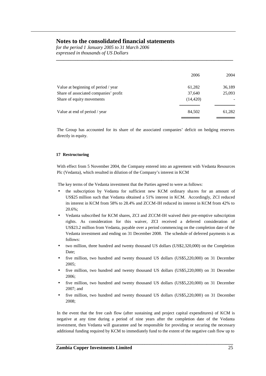*for the period 1 January 2005 to 31 March 2006 expressed in thousands of US Dollars*

|                                       | 2006      | 2004   |
|---------------------------------------|-----------|--------|
| Value at beginning of period / year   | 61,282    | 36,189 |
| Share of associated companies' profit | 37,640    | 25,093 |
| Share of equity movements             | (14, 420) |        |
| Value at end of period / year         | 84,502    | 61,282 |
|                                       |           |        |

**\_\_\_\_\_\_\_\_\_\_\_\_\_\_\_\_\_\_\_\_\_\_\_\_\_\_\_\_\_\_\_\_\_\_\_\_\_\_\_\_\_\_\_\_\_\_\_\_\_\_\_\_\_\_\_\_\_\_\_\_\_\_\_\_\_\_\_\_\_\_\_\_\_\_**

The Group has accounted for its share of the associated companies' deficit on hedging reserves directly in equity.

#### **17 Restructuring**

With effect from 5 November 2004, the Company entered into an agreement with Vedanta Resources Plc (Vedanta), which resulted in dilution of the Company's interest in KCM

The key terms of the Vedanta investment that the Parties agreed to were as follows:

- the subscription by Vedanta for sufficient new KCM ordinary shares for an amount of US\$25 million such that Vedanta obtained a 51% interest in KCM. Accordingly, ZCI reduced its interest in KCM from 58% to 28.4% and ZCCM-IH reduced its interest in KCM from 42% to 20.6%;
- Vedanta subscribed for KCM shares, ZCI and ZCCM-IH waived their pre-emptive subscription rights. As consideration for this waiver, ZCI received a deferred consideration of US\$23.2 million from Vedanta, payable over a period commencing on the completion date of the Vedanta investment and ending on 31 December 2008. The schedule of deferred payments is as follows:
- two million, three hundred and twenty thousand US dollars (US\$2,320,000) on the Completion Date;
- five million, two hundred and twenty thousand US dollars (US\$5,220,000) on 31 December 2005;
- five million, two hundred and twenty thousand US dollars (US\$5,220,000) on 31 December 2006;
- five million, two hundred and twenty thousand US dollars (US\$5,220,000) on 31 December 2007; and
- five million, two hundred and twenty thousand US dollars (US\$5,220,000) on 31 December 2008;

In the event that the free cash flow (after sustaining and project capital expenditures) of KCM is negative at any time during a period of nine years after the completion date of the Vedanta investment, then Vedanta will guarantee and be responsible for providing or securing the necessary additional funding required by KCM to immediately fund to the extent of the negative cash flow up to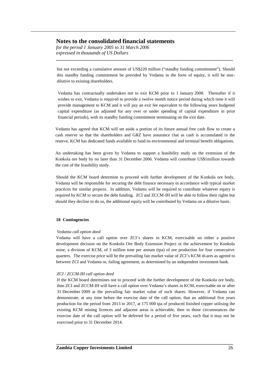*for the period 1 January 2005 to 31 March 2006 expressed in thousands of US Dollars*

but not exceeding a cumulative amount of US\$220 million ("standby funding commitment"). Should this standby funding commitment be provided by Vedanta in the form of equity, it will be nondilutive to existing shareholders.

**\_\_\_\_\_\_\_\_\_\_\_\_\_\_\_\_\_\_\_\_\_\_\_\_\_\_\_\_\_\_\_\_\_\_\_\_\_\_\_\_\_\_\_\_\_\_\_\_\_\_\_\_\_\_\_\_\_\_\_\_\_\_\_\_\_\_\_\_\_\_\_\_\_\_**

Vedanta has contractually undertaken not to exit KCM prior to 1 January 2008. Thereafter if it wishes to exit, Vedanta is required to provide a twelve month notice period during which time it will provide management to KCM and it will pay an exit fee equivalent to the following years budgeted capital expenditure (as adjusted for any over or under spending of capital expenditure in prior financial periods), with its standby funding commitment terminating on the exit date.

Vedanta has agreed that KCM will set aside a portion of its future annual free cash flow to create a cash reserve so that the shareholders and GRZ have assurance that as cash is accumulated in the reserve, KCM has dedicated funds available to fund its environmental and terminal benefit obligations.

An undertaking has been given by Vedanta to support a feasibility study on the extension of the Konkola ore body by no later than 31 December 2006. Vedanta will contribute US\$1million towards the cost of the feasibility study.

Should the KCM board determine to proceed with further development of the Konkola ore body, Vedanta will be responsible for securing the debt finance necessary in accordance with typical market practices for similar projects. In addition, Vedanta will be required to contribute whatever equity is required by KCM to secure the debt funding. ZCI and ZCCM-IH will be able to follow their rights but should they decline to do so, the additional equity will be contributed by Vedanta on a dilutive basis.

#### **18 Contingencies**

#### *Vedanta call option deed*

Vedanta will have a call option over ZCI's shares in KCM, exercisable on either a positive development decision on the Konkola Ore Body Extension Project or the achievement by Konkola mine, a division of KCM, of 3 million tone per annum (tpa) of ore production for four consecutive quarters. The exercise price will be the prevailing fair market value of ZCI's KCM sh ares as agreed to between ZCI and Vedanta or, failing agreement, as determined by an independent investment bank.

#### *ZCI / ZCCM-IH call option deed*

If the KCM board determines not to proceed with the further development of the Konkola ore body, then ZCI and ZCCM-IH will have a call option over Vedanta's shares in KCM, exercisable on or after 31 December 2009 at the prevailing fair market value of such shares. However, if Vedanta can demonstrate, at any time before the exercise date of the call option, that an additional five years production for the period from 2013 to 2017, at 175 000 tpa of produced finished copper utilising the existing KCM mining licences and adjacent areas is achievable, then in those circumstances the exercise date of the call option will be deferred for a period of five years, such that it may not be exercised prior to 31 December 2014.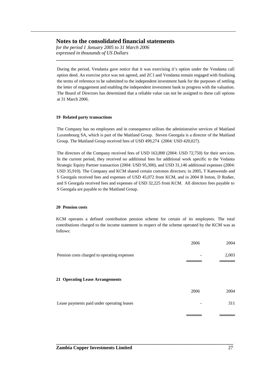*for the period 1 January 2005 to 31 March 2006 expressed in thousands of US Dollars*

During the period, Vendanta gave notice that it was exercising it's option under the Vendanta call option deed. An exercise price was not agreed, and ZCI and Vendanta remain engaged with finalising the terms of reference to be submitted to the independent investment bank for the purposes of settling the letter of engagement and enabling the independent investment bank to progress with the valuation. The Board of Directors has determined that a reliable value can not be assigned to these call options at 31 March 2006.

**\_\_\_\_\_\_\_\_\_\_\_\_\_\_\_\_\_\_\_\_\_\_\_\_\_\_\_\_\_\_\_\_\_\_\_\_\_\_\_\_\_\_\_\_\_\_\_\_\_\_\_\_\_\_\_\_\_\_\_\_\_\_\_\_\_\_\_\_\_\_\_\_\_\_**

#### **19 Related party transactions**

The Company has no employees and in consequence utilises the administrative services of Maitland Luxembourg SA, which is part of the Maitland Group. Steven Georgala is a director of the Maitland Group. The Maitland Group received fees of USD 499,274 (2004: USD 420,027).

The directors of the Company received fees of USD 163,890 (2004: USD 72,750) for their services. In the current period, they received no additional fees for additional work specific to the Vedanta Strategic Equity Partner transaction (2004: USD 95,300), and USD 31,146 additional expenses (2004: USD 35,910). The Company and KCM shared certain common directors; in 2005, T Kamwendo and S Georgala received fees and expenses of USD 45,072 from KCM, and in 2004 B Ireton, D Rodier, and S Georgala received fees and expenses of USD 32,225 from KCM. All directors fees payable to S Georgala are payable to the Maitland Group.

#### **20 Pension costs**

KCM operates a defined contribution pension scheme for certain of its employees. The total contributions charged to the income statement in respect of the scheme operated by the KCM was as follows:

|                                             | 2006 | 2004  |
|---------------------------------------------|------|-------|
| Pension costs charged to operating expenses |      | 2,003 |
| 21 Operating Lease Arrangements             |      |       |
|                                             | 2006 | 2004  |
| Lease payments paid under operating leases  | -    | 311   |
|                                             |      |       |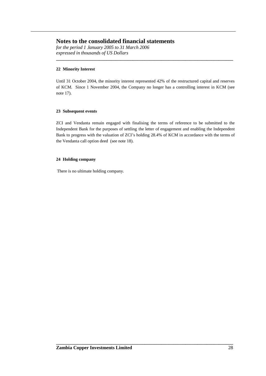*for the period 1 January 2005 to 31 March 2006 expressed in thousands of US Dollars*

#### **22 Minority Interest**

Until 31 October 2004, the minority interest represented 42% of the restructured capital and reserves of KCM. Since 1 November 2004, the Company no longer has a controlling interest in KCM (see note 17).

**\_\_\_\_\_\_\_\_\_\_\_\_\_\_\_\_\_\_\_\_\_\_\_\_\_\_\_\_\_\_\_\_\_\_\_\_\_\_\_\_\_\_\_\_\_\_\_\_\_\_\_\_\_\_\_\_\_\_\_\_\_\_\_\_\_\_\_\_\_\_\_\_\_\_**

#### **23 Subsequent events**

ZCI and Vendanta remain engaged with finalising the terms of reference to be submitted to the Independent Bank for the purposes of settling the letter of engagement and enabling the Independent Bank to progress with the valuation of ZCI's holding 28.4% of KCM in accordance with the terms of the Vendanta call option deed (see note 18).

#### **24 Holding company**

There is no ultimate holding company.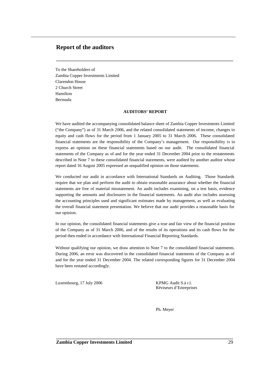## **Report of the auditors**

To the Shareholders of Zambia Copper Investments Limited Clarendon House 2 Church Street Hamilton Bermuda

#### **AUDITORS' REPORT**

**\_\_\_\_\_\_\_\_\_\_\_\_\_\_\_\_\_\_\_\_\_\_\_\_\_\_\_\_\_\_\_\_\_\_\_\_\_\_\_\_\_\_\_\_\_\_\_\_\_\_\_\_\_\_\_\_\_\_\_\_\_\_\_\_\_\_\_\_\_\_\_\_\_\_**

We have audited the accompanying consolidated balance sheet of Zambia Copper Investments Limited ("the Company") as of 31 March 2006, and the related consolidated statements of income, changes in equity and cash flows for the period from 1 January 2005 to 31 March 2006. These consolidated financial statements are the responsibility of the Company's management. Our responsibility is to express an opinion on these financial statements based on our audit. The consolidated financial statements of the Company as of and for the year ended 31 December 2004 prior to the restatements described in Note 7 to these consolidated financial statements, were audited by another auditor whose report dated 16 August 2005 expressed an unqualified opinion on those statements.

We conducted our audit in accordance with International Standards on Auditing. Those Standards require that we plan and perform the audit to obtain reasonable assurance about whether the financial statements are free of material misstatement. An audit includes examining, on a test basis, evidence supporting the amounts and disclosures in the financial statements. An audit also includes assessing the accounting principles used and significant estimates made by management, as well as evaluating the overall financial statement presentation. We believe that our audit provides a reasonable basis for our opinion.

In our opinion, the consolidated financial statements give a true and fair view of the financial position of the Company as of 31 March 2006, and of the results of its operations and its cash flows for the period then ended in accordance with International Financial Reporting Standards.

Without qualifying our opinion, we draw attention to Note 7 to the consolidated financial statements. During 2006, an error was discovered in the consolidated financial statements of the Company as of and for the year ended 31 December 2004. The related corresponding figures for 31 December 2004 have been restated accordingly.

**\_\_\_\_\_\_\_\_\_\_\_\_\_\_\_\_\_\_\_\_\_\_\_\_\_\_\_\_\_\_\_\_\_\_\_\_\_\_\_\_\_\_\_\_\_\_\_\_\_\_\_\_\_\_\_\_\_\_\_\_\_\_\_\_\_\_\_\_\_\_\_\_\_\_**

Luxembourg, 17 July 2006 KPMG Audit S.à r.l.

Réviseurs d'Entreprises

Ph. Meyer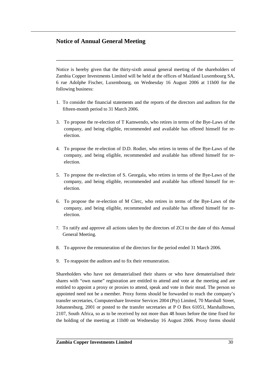## **Notice of Annual General Meeting**

Notice is hereby given that the thirty-sixth annual general meeting of the shareholders of Zambia Copper Investments Limited will be held at the offices of Maitland Luxembourg SA, 6 rue Adolphe Fischer, Luxembourg, on Wednesday 16 August 2006 at 11h00 for the following business:

**\_\_\_\_\_\_\_\_\_\_\_\_\_\_\_\_\_\_\_\_\_\_\_\_\_\_\_\_\_\_\_\_\_\_\_\_\_\_\_\_\_\_\_\_\_\_\_\_\_\_\_\_\_\_\_\_\_\_\_\_\_\_\_\_\_\_\_\_\_\_\_\_\_\_**

- 1. To consider the financial statements and the reports of the directors and auditors for the fifteen-month period to 31 March 2006.
- 3. To propose the re-election of T Kamwendo, who retires in terms of the Bye-Laws of the company, and being eligible, recommended and available has offered himself for reelection.
- 4. To propose the re-election of D.D. Rodier, who retires in terms of the Bye-Laws of the company, and being eligible, recommended and available has offered himself for reelection.
- 5. To propose the re-election of S. Georgala, who retires in terms of the Bye-Laws of the company, and being eligible, recommended and available has offered himself for reelection.
- 6. To propose the re-election of M Clerc, who retires in terms of the Bye-Laws of the company, and being eligible, recommended and available has offered himself for reelection.
- 7. To ratify and approve all actions taken by the directors of ZCI to the date of this Annual General Meeting.
- 8. To approve the remuneration of the directors for the period ended 31 March 2006.
- 9. To reappoint the auditors and to fix their remuneration.

Shareholders who have not dematerialised their shares or who have dematerialised their shares with "own name" registration are entitled to attend and vote at the meeting and are entitled to appoint a proxy or proxies to attend, speak and vote in their stead. The person so appointed need not be a member. Proxy forms should be forwarded to reach the company's transfer secretaries, Computershare Investor Services 2004 (Pty) Limited, 70 Marshall Street, Johannesburg, 2001 or posted to the transfer secretaries at P O Box 61051, Marshalltown, 2107, South Africa, so as to be received by not more than 48 hours before the time fixed for the holding of the meeting at 11h00 on Wednesday 16 August 2006. Proxy forms should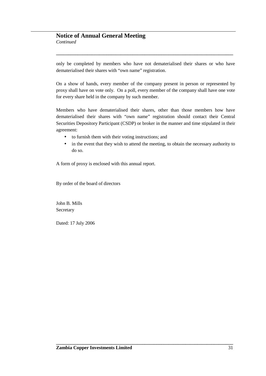only be completed by members who have not dematerialised their shares or who have dematerialised their shares with "own name" registration.

**\_\_\_\_\_\_\_\_\_\_\_\_\_\_\_\_\_\_\_\_\_\_\_\_\_\_\_\_\_\_\_\_\_\_\_\_\_\_\_\_\_\_\_\_\_\_\_\_\_\_\_\_\_\_\_\_\_\_\_\_\_\_\_\_\_\_\_\_\_\_\_\_\_\_**

On a show of hands, every member of the company present in person or represented by proxy shall have on vote only. On a poll, every member of the company shall have one vote for every share held in the company by such member.

Members who have dematerialised their shares, other than those members how have dematerialised their shares with "own name" registration should contact their Central Securities Depository Participant (CSDP) or broker in the manner and time stipulated in their agreement:

- to furnish them with their voting instructions; and
- in the event that they wish to attend the meeting, to obtain the necessary authority to do so.

A form of proxy is enclosed with this annual report.

By order of the board of directors

John B. Mills **Secretary** 

Dated: 17 July 2006